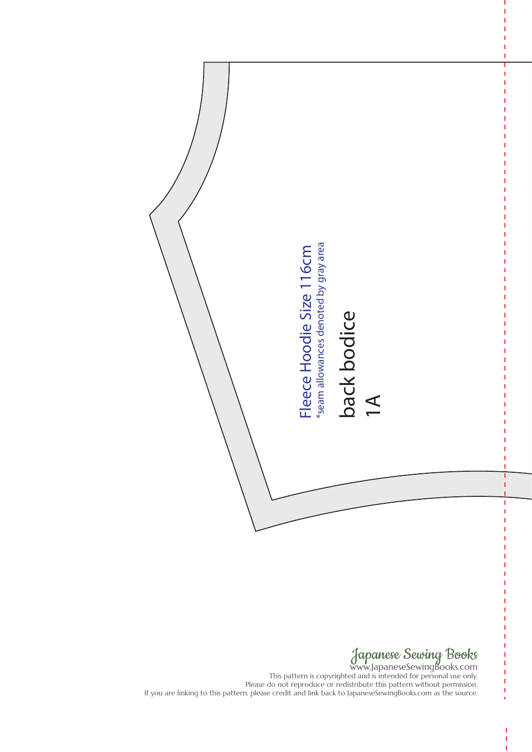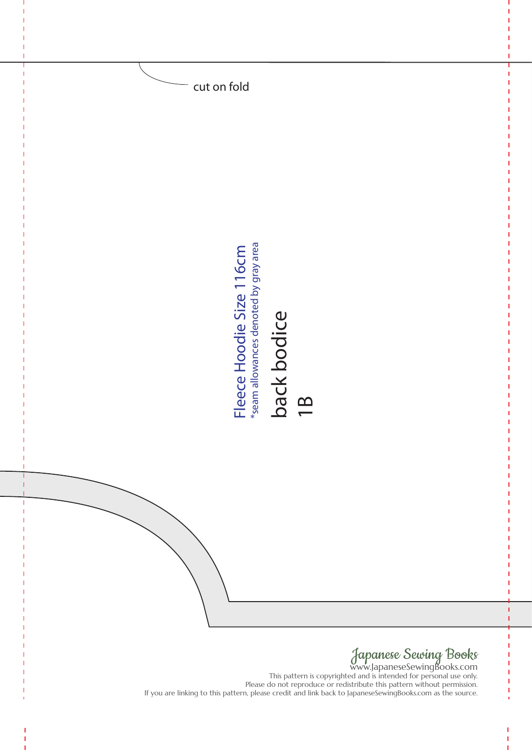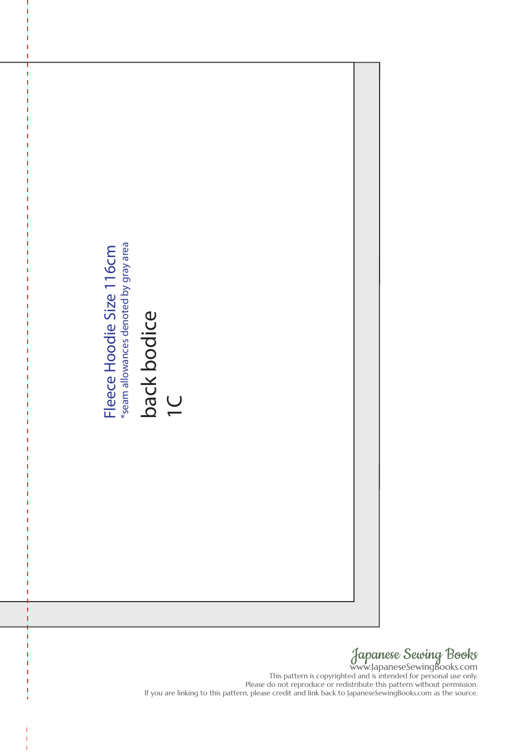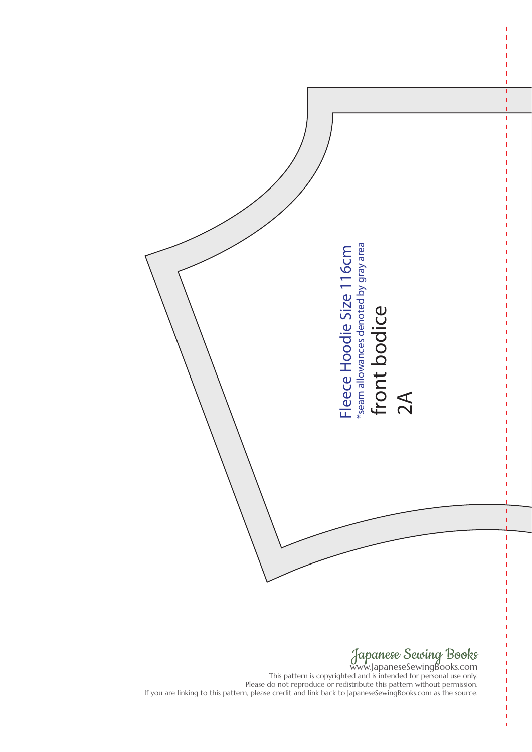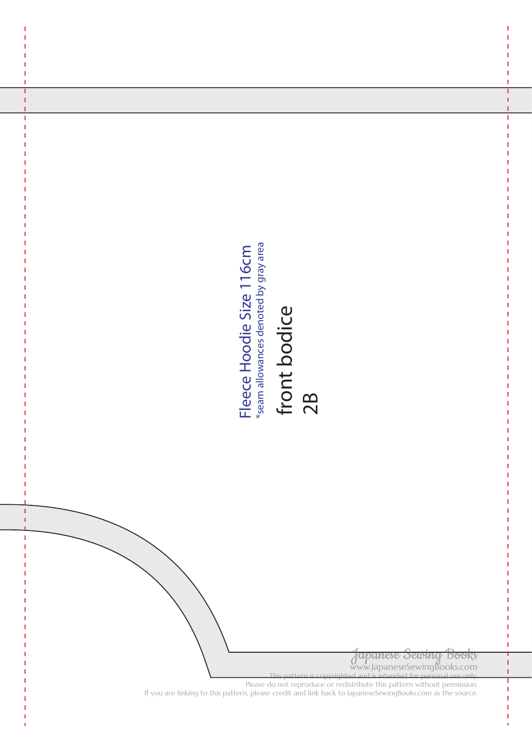

# front bodice 2B

Japanese Sewing Books www.JapaneseSewingBooks.com

This pattern is copyrighted and is intended for personal use only. Please do not reproduce or redistribute this pattern without permission. If you are linking to this pattern, please credit and link back to JapaneseSewingBooks.com<br>
If you are linking to this pattern, please credit and link back to JapaneseSewingBooks.com<br>
The source of the source of the source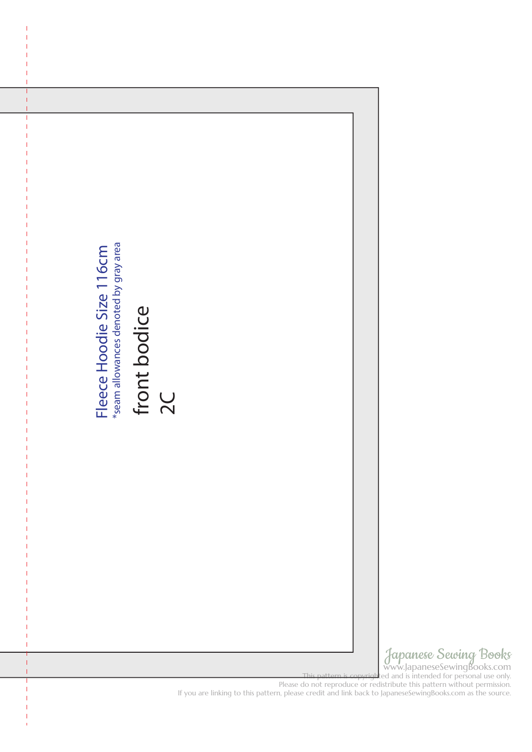

Japanese Sewing Books www.JapaneseSewingBooks.com

This many appartes conting be chosen in

Please do not reproduce or redistribute this pattern without permission.<br>If you are linking to this pattern, please credit and link back to JapaneseSewingBooks.com as the source.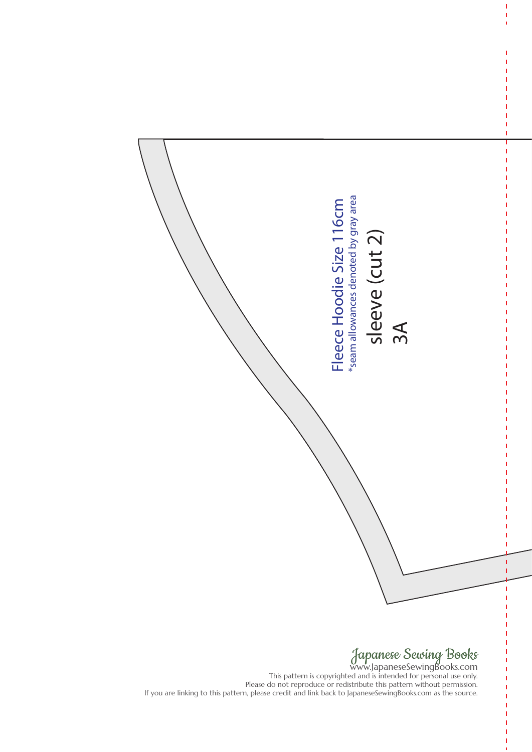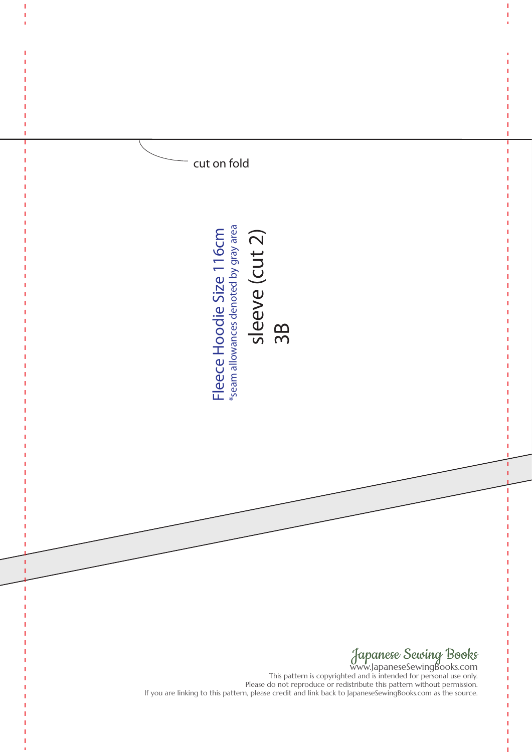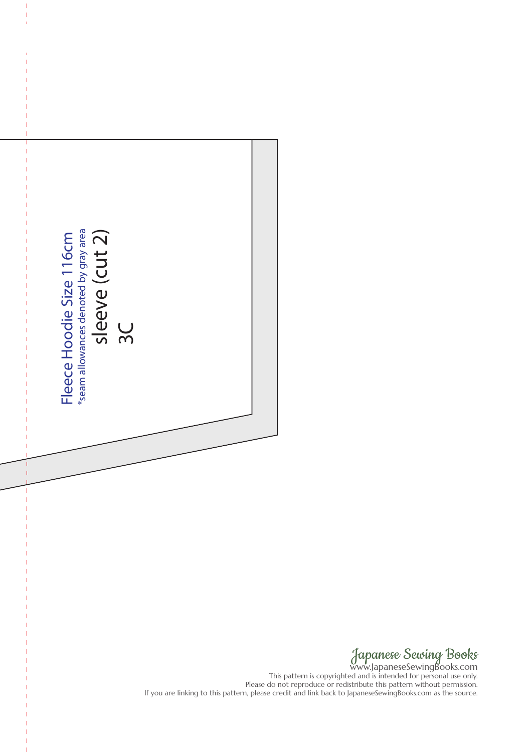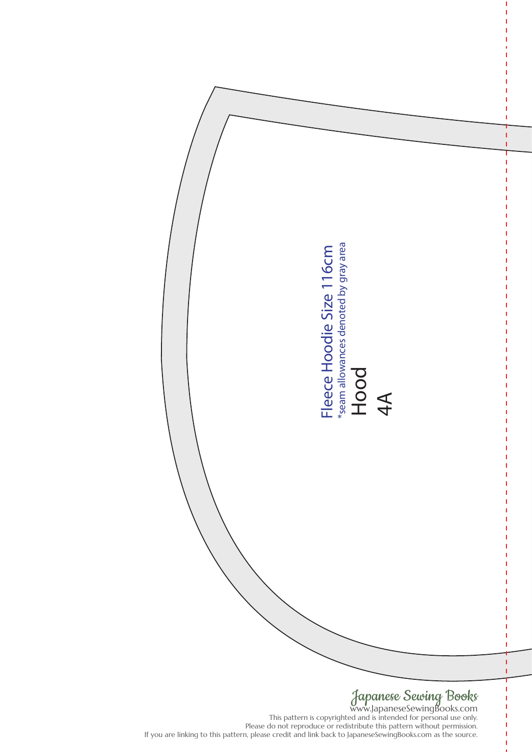

www.JapaneseSewingBooks.com This pattern is copyrighted and is intended for personal use only. Please do not reproduce or redistribute this pattern without permission.